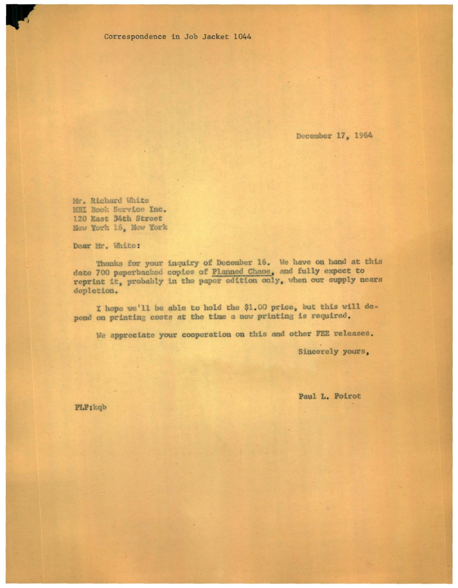Correspondence in Job Jacket 1044

December 17, 1964

Mr. Richard White NBI Bool. Service Inc. 120 East 34th Street New York 16, New York

Dear Mr. White:

Thanks for your inquiry of December 16. We have on hand at this date 700 paperbacked copies of Planned Chaos, and fully expect to reprint it, probably in the paper edition only, when our supply nears depletion.

I hope we'll be able to hold the \$1 . 00 price, but this will depend on printing costs at the time a new printing is required.

We appreciate your cooperation on this and other FEE releases.

Sincerely yours,

Paul L. Poirot

PLP:kqb